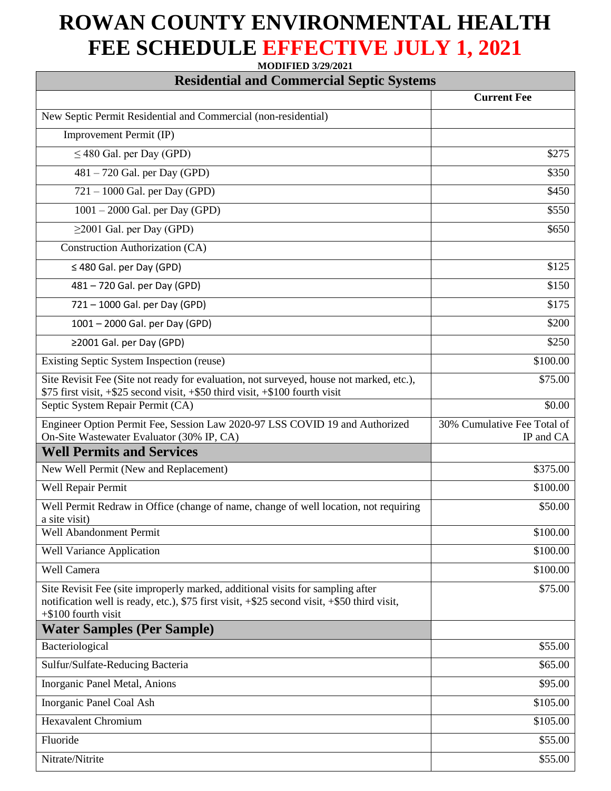## **ROWAN COUNTY ENVIRONMENTAL HEALTH FEE SCHEDULE EFFECTIVE JULY 1, 2021**

**MODIFIED 3/29/2021**

| <b>Residential and Commercial Septic Systems</b>                                                                                                                                                        |                                          |
|---------------------------------------------------------------------------------------------------------------------------------------------------------------------------------------------------------|------------------------------------------|
|                                                                                                                                                                                                         | <b>Current Fee</b>                       |
| New Septic Permit Residential and Commercial (non-residential)                                                                                                                                          |                                          |
| Improvement Permit (IP)                                                                                                                                                                                 |                                          |
| $\leq$ 480 Gal. per Day (GPD)                                                                                                                                                                           | \$275                                    |
| $481 - 720$ Gal. per Day (GPD)                                                                                                                                                                          | \$350                                    |
| $721 - 1000$ Gal. per Day (GPD)                                                                                                                                                                         | \$450                                    |
| $1001 - 2000$ Gal. per Day (GPD)                                                                                                                                                                        | \$550                                    |
| $\geq$ 2001 Gal. per Day (GPD)                                                                                                                                                                          | \$650                                    |
| Construction Authorization (CA)                                                                                                                                                                         |                                          |
| $\leq$ 480 Gal. per Day (GPD)                                                                                                                                                                           | \$125                                    |
| 481 - 720 Gal. per Day (GPD)                                                                                                                                                                            | \$150                                    |
| 721 - 1000 Gal. per Day (GPD)                                                                                                                                                                           | \$175                                    |
| 1001 - 2000 Gal. per Day (GPD)                                                                                                                                                                          | \$200                                    |
| ≥2001 Gal. per Day (GPD)                                                                                                                                                                                | \$250                                    |
| Existing Septic System Inspection (reuse)                                                                                                                                                               | \$100.00                                 |
| Site Revisit Fee (Site not ready for evaluation, not surveyed, house not marked, etc.),<br>\$75 first visit, +\$25 second visit, +\$50 third visit, +\$100 fourth visit                                 | \$75.00                                  |
| Septic System Repair Permit (CA)                                                                                                                                                                        | \$0.00                                   |
| Engineer Option Permit Fee, Session Law 2020-97 LSS COVID 19 and Authorized<br>On-Site Wastewater Evaluator (30% IP, CA)                                                                                | 30% Cumulative Fee Total of<br>IP and CA |
| <b>Well Permits and Services</b>                                                                                                                                                                        |                                          |
| New Well Permit (New and Replacement)                                                                                                                                                                   | \$375.00                                 |
| Well Repair Permit                                                                                                                                                                                      | \$100.00                                 |
| Well Permit Redraw in Office (change of name, change of well location, not requiring<br>a site visit)                                                                                                   | \$50.00                                  |
| Well Abandonment Permit                                                                                                                                                                                 | \$100.00                                 |
| <b>Well Variance Application</b>                                                                                                                                                                        | \$100.00                                 |
| Well Camera                                                                                                                                                                                             | \$100.00                                 |
| Site Revisit Fee (site improperly marked, additional visits for sampling after<br>notification well is ready, etc.), \$75 first visit, +\$25 second visit, +\$50 third visit,<br>$+$ \$100 fourth visit | \$75.00                                  |
| <b>Water Samples (Per Sample)</b>                                                                                                                                                                       |                                          |
| Bacteriological                                                                                                                                                                                         | \$55.00                                  |
| Sulfur/Sulfate-Reducing Bacteria                                                                                                                                                                        | \$65.00                                  |
| Inorganic Panel Metal, Anions                                                                                                                                                                           | \$95.00                                  |
| Inorganic Panel Coal Ash                                                                                                                                                                                | \$105.00                                 |
| <b>Hexavalent Chromium</b>                                                                                                                                                                              | \$105.00                                 |
| Fluoride                                                                                                                                                                                                | \$55.00                                  |
| Nitrate/Nitrite                                                                                                                                                                                         | \$55.00                                  |